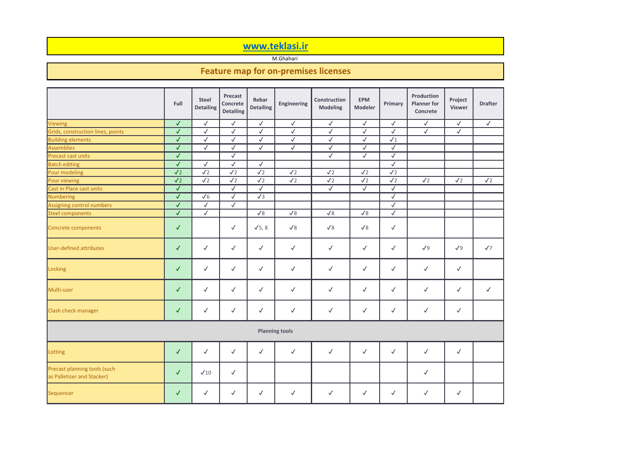

|                                                            | Full                    | <b>Steel</b><br><b>Detailing</b> | <b>Precast</b><br><b>Concrete</b><br><b>Detailing</b> | Rebar<br><b>Detailing</b> | <b>Engineering</b>    | <b>Construction</b><br><b>Modeling</b> | <b>EPM</b><br><b>Modeler</b> | <b>Primary</b> | <b>Production</b><br><b>Planner</b> for<br><b>Concrete</b> | Project<br><b>Viewer</b> | <b>Draft</b> |
|------------------------------------------------------------|-------------------------|----------------------------------|-------------------------------------------------------|---------------------------|-----------------------|----------------------------------------|------------------------------|----------------|------------------------------------------------------------|--------------------------|--------------|
| Viewing                                                    | $\sqrt{2}$              | $\checkmark$                     | $\checkmark$                                          | $\checkmark$              | $\checkmark$          | $\checkmark$                           | $\checkmark$                 | $\checkmark$   | $\checkmark$                                               | $\checkmark$             | $\checkmark$ |
| Grids, construction lines, points                          | $\sqrt{2}$              | $\checkmark$                     | $\checkmark$                                          | $\checkmark$              | $\checkmark$          | $\checkmark$                           | $\checkmark$                 | $\checkmark$   | $\checkmark$                                               | $\sqrt{2}$               |              |
| <b>Building elements</b>                                   | $\sqrt{2}$              | $\checkmark$                     | $\checkmark$                                          | $\checkmark$              | $\checkmark$          | $\checkmark$                           | $\checkmark$                 | $\sqrt{1}$     |                                                            |                          |              |
| Assemblies                                                 | $\checkmark$            | $\checkmark$                     | $\checkmark$                                          | $\checkmark$              | $\checkmark$          | $\checkmark$                           | $\checkmark$                 | $\checkmark$   |                                                            |                          |              |
| Precast cast units                                         | $\checkmark$            |                                  | $\checkmark$                                          |                           |                       | $\checkmark$                           | $\checkmark$                 | $\checkmark$   |                                                            |                          |              |
| <b>Batch editing</b>                                       | $\checkmark$            | $\checkmark$                     | $\checkmark$                                          | $\checkmark$              |                       |                                        |                              | $\checkmark$   |                                                            |                          |              |
| Pour modeling                                              | $\sqrt{2}$              | $\sqrt{2}$                       | $\sqrt{2}$                                            | $\sqrt{2}$                | $\sqrt{2}$            | $\sqrt{2}$                             | $\sqrt{2}$                   | $\sqrt{2}$     |                                                            |                          |              |
| Pour viewing                                               | $\sqrt{2}$              | $\sqrt{2}$                       | $\sqrt{2}$                                            | $\sqrt{2}$                | $\sqrt{2}$            | $\sqrt{2}$                             | $\sqrt{2}$                   | $\sqrt{2}$     | $\sqrt{2}$                                                 | $\sqrt{2}$               | $\sqrt{2}$   |
| Cast in Place cast units                                   | $\checkmark$            |                                  | $\checkmark$                                          | $\checkmark$              |                       | $\checkmark$                           | $\checkmark$                 | $\checkmark$   |                                                            |                          |              |
| Numbering                                                  | $\checkmark$            | $\sqrt{6}$                       | $\checkmark$                                          | $\sqrt{3}$                |                       |                                        |                              | $\checkmark$   |                                                            |                          |              |
| Assigning control numbers                                  | $\overline{\checkmark}$ | $\sqrt{ }$                       | $\checkmark$                                          |                           |                       |                                        |                              | $\sqrt{2}$     |                                                            |                          |              |
| <b>Steel components</b>                                    | $\sqrt{2}$              | $\checkmark$                     |                                                       | $\sqrt{8}$                | $\sqrt{8}$            | $\sqrt{8}$                             | $\sqrt{8}$                   | $\checkmark$   |                                                            |                          |              |
| Concrete components                                        | $\checkmark$            |                                  | $\checkmark$                                          | $\sqrt{5}$ , 8            | $\sqrt{8}$            | $\sqrt{8}$                             | $\sqrt{8}$                   | $\checkmark$   |                                                            |                          |              |
| <b>User-defined attributes</b>                             | $\checkmark$            | $\checkmark$                     | $\checkmark$                                          | $\checkmark$              | $\checkmark$          | $\checkmark$                           | $\checkmark$                 | $\checkmark$   | $\sqrt{9}$                                                 | $\sqrt{9}$               | $\sqrt{7}$   |
| Locking                                                    | $\checkmark$            | $\checkmark$                     | $\checkmark$                                          | $\checkmark$              | $\checkmark$          | $\checkmark$                           | $\checkmark$                 | $\checkmark$   | $\checkmark$                                               | $\checkmark$             |              |
| Multi-user                                                 | $\checkmark$            | $\checkmark$                     | $\checkmark$                                          | $\checkmark$              | $\checkmark$          | $\checkmark$                           | $\checkmark$                 | $\checkmark$   | $\checkmark$                                               | $\checkmark$             | $\checkmark$ |
| <b>Clash check manager</b>                                 | $\checkmark$            | $\checkmark$                     | $\checkmark$                                          | $\checkmark$              | $\checkmark$          | $\checkmark$                           | $\checkmark$                 | $\checkmark$   | $\checkmark$                                               | $\checkmark$             |              |
|                                                            |                         |                                  |                                                       |                           | <b>Planning tools</b> |                                        |                              |                |                                                            |                          |              |
| Lotting                                                    | $\checkmark$            | $\checkmark$                     | $\checkmark$                                          | $\checkmark$              | $\checkmark$          | $\checkmark$                           | $\checkmark$                 | $\checkmark$   | $\checkmark$                                               | $\checkmark$             |              |
| Precast planning tools (such<br>as Palletizer and Stacker) | $\checkmark$            | $\sqrt{10}$                      | $\checkmark$                                          |                           |                       |                                        |                              |                | $\checkmark$                                               |                          |              |
| Sequencer                                                  | $\checkmark$            | $\checkmark$                     | $\checkmark$                                          | $\checkmark$              | $\checkmark$          | $\checkmark$                           | $\checkmark$                 | $\checkmark$   | $\checkmark$                                               | $\checkmark$             |              |

## **www.teklasi.ir**

## **Feature map for on-premises licenses**

M.Ghahari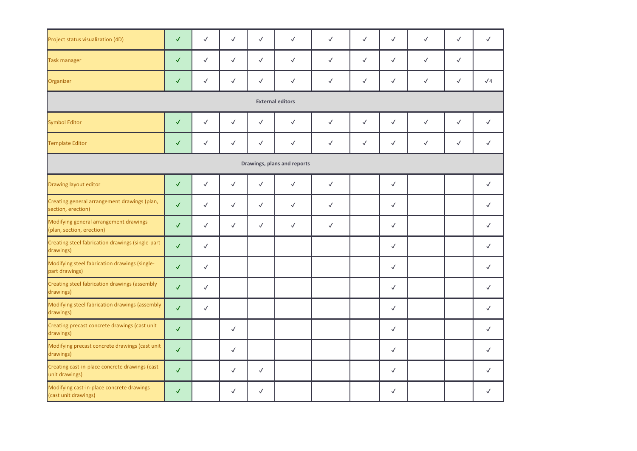| Project status visualization (4D)                                   | $\checkmark$ | $\checkmark$ | $\checkmark$ | $\checkmark$ | $\checkmark$                | $\checkmark$ | $\checkmark$ | $\checkmark$ | $\checkmark$ | $\checkmark$ | $\checkmark$ |
|---------------------------------------------------------------------|--------------|--------------|--------------|--------------|-----------------------------|--------------|--------------|--------------|--------------|--------------|--------------|
| <b>Task manager</b>                                                 | $\checkmark$ | $\checkmark$ | $\checkmark$ | $\checkmark$ | $\checkmark$                | $\checkmark$ | $\checkmark$ | $\checkmark$ | $\checkmark$ | $\checkmark$ |              |
| Organizer                                                           | $\checkmark$ | $\checkmark$ | $\checkmark$ | $\checkmark$ | $\checkmark$                | $\checkmark$ | $\checkmark$ | $\checkmark$ | $\checkmark$ | $\checkmark$ | $\sqrt{4}$   |
|                                                                     |              |              |              |              | <b>External editors</b>     |              |              |              |              |              |              |
| <b>Symbol Editor</b>                                                | $\checkmark$ | $\checkmark$ | $\checkmark$ | $\checkmark$ | $\checkmark$                | $\checkmark$ | $\checkmark$ | $\checkmark$ | $\checkmark$ | $\checkmark$ | $\checkmark$ |
| <b>Template Editor</b>                                              | $\checkmark$ | $\checkmark$ | $\checkmark$ | $\checkmark$ | $\checkmark$                | $\checkmark$ | $\checkmark$ | $\checkmark$ | $\checkmark$ | $\checkmark$ | $\checkmark$ |
|                                                                     |              |              |              |              | Drawings, plans and reports |              |              |              |              |              |              |
| <b>Drawing layout editor</b>                                        | $\checkmark$ | $\checkmark$ | $\checkmark$ | $\checkmark$ | $\checkmark$                | $\checkmark$ |              | $\checkmark$ |              |              | $\checkmark$ |
| Creating general arrangement drawings (plan,<br>section, erection)  | $\checkmark$ | $\checkmark$ | $\checkmark$ | $\checkmark$ | $\checkmark$                | $\checkmark$ |              | $\checkmark$ |              |              | $\checkmark$ |
| Modifying general arrangement drawings<br>(plan, section, erection) | $\checkmark$ | $\checkmark$ | $\checkmark$ | $\checkmark$ | $\checkmark$                | $\checkmark$ |              | $\checkmark$ |              |              | $\checkmark$ |
| Creating steel fabrication drawings (single-part<br>drawings)       | $\checkmark$ | $\checkmark$ |              |              |                             |              |              | $\checkmark$ |              |              | $\checkmark$ |
| Modifying steel fabrication drawings (single-<br>part drawings)     | $\checkmark$ | $\checkmark$ |              |              |                             |              |              | $\checkmark$ |              |              | $\checkmark$ |
| Creating steel fabrication drawings (assembly<br>drawings)          | $\checkmark$ | $\checkmark$ |              |              |                             |              |              | $\checkmark$ |              |              | $\checkmark$ |
| Modifying steel fabrication drawings (assembly<br>drawings)         | $\checkmark$ | $\checkmark$ |              |              |                             |              |              | $\checkmark$ |              |              | $\checkmark$ |
| Creating precast concrete drawings (cast unit<br>drawings)          | $\checkmark$ |              | $\checkmark$ |              |                             |              |              | $\checkmark$ |              |              | $\checkmark$ |
| Modifying precast concrete drawings (cast unit<br>drawings)         | $\checkmark$ |              | $\checkmark$ |              |                             |              |              | $\checkmark$ |              |              | $\checkmark$ |
| Creating cast-in-place concrete drawings (cast<br>unit drawings)    | $\checkmark$ |              | $\checkmark$ | $\checkmark$ |                             |              |              | $\checkmark$ |              |              | $\checkmark$ |
| Modifying cast-in-place concrete drawings<br>(cast unit drawings)   | $\checkmark$ |              | $\checkmark$ | $\checkmark$ |                             |              |              | $\checkmark$ |              |              | $\checkmark$ |

| $\checkmark$ |  |
|--------------|--|
|              |  |
| $\sqrt{4}$   |  |
|              |  |
| √            |  |
| $\checkmark$ |  |
|              |  |
|              |  |
| $\checkmark$ |  |
| $\checkmark$ |  |
| $\checkmark$ |  |
| $\checkmark$ |  |
| $\checkmark$ |  |
| $\checkmark$ |  |
| $\checkmark$ |  |
| $\checkmark$ |  |
| $\checkmark$ |  |
| $\checkmark$ |  |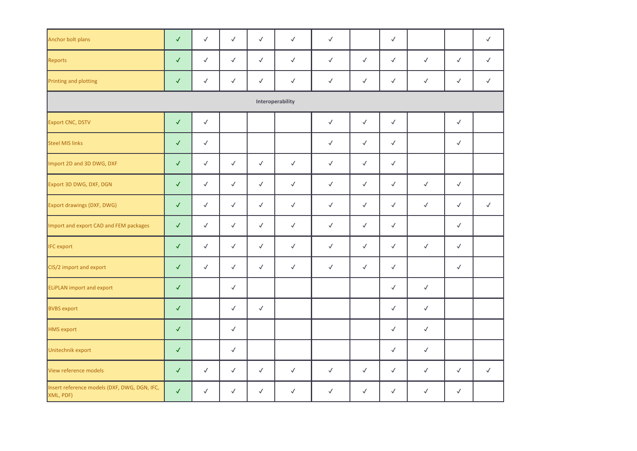| Anchor bolt plans                                         | $\checkmark$ | $\checkmark$ | $\checkmark$ | $\checkmark$ | $\checkmark$     | $\checkmark$ |              | $\checkmark$ |              |              | $\checkmark$ |
|-----------------------------------------------------------|--------------|--------------|--------------|--------------|------------------|--------------|--------------|--------------|--------------|--------------|--------------|
| Reports                                                   | $\checkmark$ | $\checkmark$ | $\checkmark$ | $\checkmark$ | $\checkmark$     | $\checkmark$ | $\checkmark$ | $\checkmark$ | $\checkmark$ | $\checkmark$ | $\checkmark$ |
| Printing and plotting                                     | $\checkmark$ | $\checkmark$ | $\checkmark$ | $\checkmark$ | $\checkmark$     | $\checkmark$ | $\checkmark$ | $\checkmark$ | $\checkmark$ | $\checkmark$ | $\checkmark$ |
|                                                           |              |              |              |              | Interoperability |              |              |              |              |              |              |
| <b>Export CNC, DSTV</b>                                   | $\checkmark$ | $\checkmark$ |              |              |                  | $\checkmark$ | $\checkmark$ | $\checkmark$ |              | $\checkmark$ |              |
| <b>Steel MIS links</b>                                    | $\checkmark$ | $\checkmark$ |              |              |                  | $\checkmark$ | $\checkmark$ | $\checkmark$ |              | $\checkmark$ |              |
| Import 2D and 3D DWG, DXF                                 | $\checkmark$ | $\checkmark$ | $\checkmark$ | $\checkmark$ | $\checkmark$     | $\checkmark$ | $\checkmark$ | $\checkmark$ |              |              |              |
| Export 3D DWG, DXF, DGN                                   | $\checkmark$ | $\checkmark$ | $\checkmark$ | $\checkmark$ | $\checkmark$     | $\checkmark$ | $\checkmark$ | $\checkmark$ | $\checkmark$ | $\checkmark$ |              |
| <b>Export drawings (DXF, DWG)</b>                         | $\checkmark$ | $\checkmark$ | $\checkmark$ | $\checkmark$ | $\checkmark$     | $\checkmark$ | $\checkmark$ | $\checkmark$ | $\checkmark$ | $\checkmark$ | $\checkmark$ |
| Import and export CAD and FEM packages                    | $\checkmark$ | $\checkmark$ | $\checkmark$ | $\checkmark$ | $\checkmark$     | $\checkmark$ | $\checkmark$ | $\checkmark$ |              | $\checkmark$ |              |
| <b>IFC</b> export                                         | $\checkmark$ | $\checkmark$ | $\checkmark$ | $\checkmark$ | $\checkmark$     | $\checkmark$ | $\checkmark$ | $\checkmark$ | $\checkmark$ | $\checkmark$ |              |
| CIS/2 import and export                                   |              | $\checkmark$ | $\checkmark$ | $\checkmark$ | $\checkmark$     | $\checkmark$ | $\checkmark$ | $\sqrt{2}$   |              | $\checkmark$ |              |
| <b>ELIPLAN import and export</b>                          | $\checkmark$ |              | $\checkmark$ |              |                  |              |              | $\checkmark$ | $\checkmark$ |              |              |
| <b>BVBS</b> export                                        | $\checkmark$ |              | $\checkmark$ | $\checkmark$ |                  |              |              | $\checkmark$ | $\checkmark$ |              |              |
| <b>HMS</b> export                                         | $\checkmark$ |              | $\checkmark$ |              |                  |              |              | $\checkmark$ | $\checkmark$ |              |              |
| Unitechnik export                                         | $\checkmark$ |              | $\checkmark$ |              |                  |              |              | $\checkmark$ | $\checkmark$ |              |              |
| View reference models                                     | $\sqrt{2}$   | $\checkmark$ | $\checkmark$ | $\checkmark$ | $\checkmark$     | $\checkmark$ | $\checkmark$ | $\checkmark$ | $\checkmark$ | $\checkmark$ | $\checkmark$ |
| Insert reference models (DXF, DWG, DGN, IFC,<br>XML, PDF) | $\checkmark$ | $\checkmark$ | $\checkmark$ | $\checkmark$ | $\checkmark$     | $\checkmark$ | $\checkmark$ | $\checkmark$ | $\checkmark$ | $\checkmark$ |              |